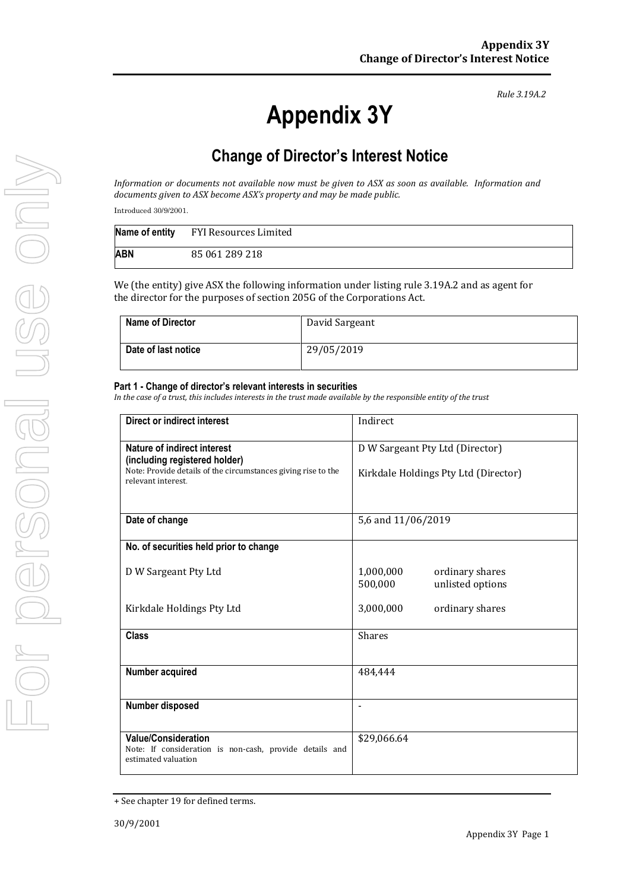*Rule 3.19A.2*

## **Change of Director's Interest Notice**

*Information or documents not available now must be given to ASX as soon as available. Information and documents given to ASX become ASX's property and may be made public.*

Introduced 30/9/2001.

|            | Name of entity FYI Resources Limited |
|------------|--------------------------------------|
| <b>ABN</b> | 85 061 289 218                       |

We (the entity) give ASX the following information under listing rule 3.19A.2 and as agent for the director for the purposes of section 205G of the Corporations Act.

| <b>Name of Director</b> | David Sargeant |
|-------------------------|----------------|
| Date of last notice     | 29/05/2019     |

## **Part 1 - Change of director's relevant interests in securities**

*In the case of a trust, this includes interests in the trust made available by the responsible entity of the trust*

| Direct or indirect interest                                                                                  | Indirect                                                    |  |
|--------------------------------------------------------------------------------------------------------------|-------------------------------------------------------------|--|
| Nature of indirect interest<br>(including registered holder)                                                 | D W Sargeant Pty Ltd (Director)                             |  |
| Note: Provide details of the circumstances giving rise to the<br>relevant interest                           | Kirkdale Holdings Pty Ltd (Director)                        |  |
| Date of change                                                                                               | 5,6 and 11/06/2019                                          |  |
| No. of securities held prior to change                                                                       |                                                             |  |
| D W Sargeant Pty Ltd                                                                                         | 1,000,000<br>ordinary shares<br>unlisted options<br>500,000 |  |
| Kirkdale Holdings Pty Ltd                                                                                    | 3,000,000<br>ordinary shares                                |  |
| <b>Class</b>                                                                                                 | <b>Shares</b>                                               |  |
| Number acquired                                                                                              | 484,444                                                     |  |
| Number disposed                                                                                              |                                                             |  |
| <b>Value/Consideration</b><br>Note: If consideration is non-cash, provide details and<br>estimated valuation | \$29,066.64                                                 |  |

<sup>+</sup> See chapter 19 for defined terms.

**Appendix 3Y**